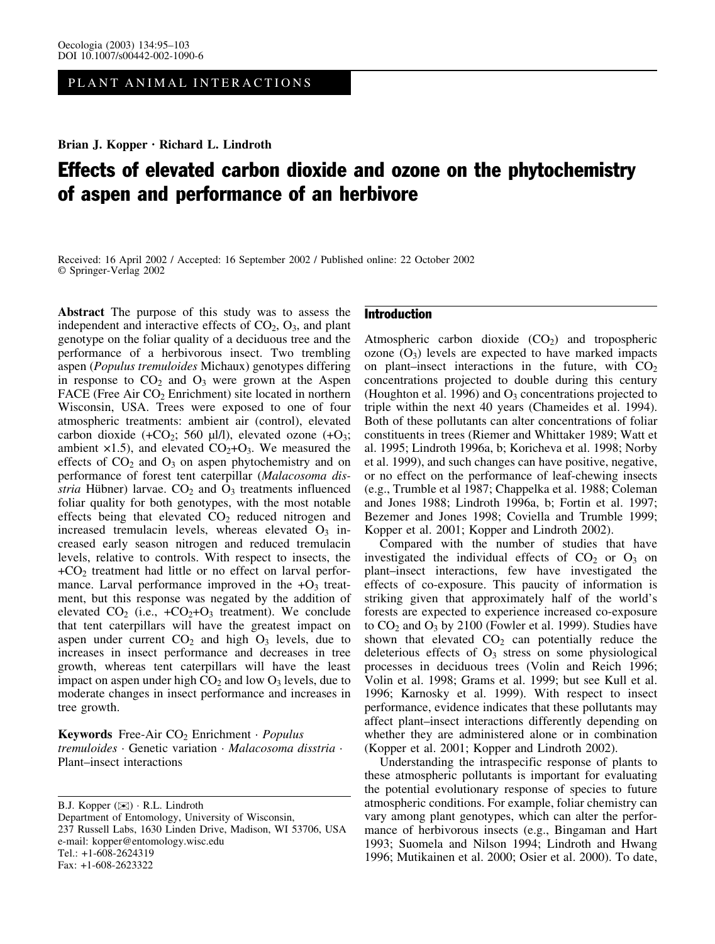PLANT ANIMAL INTERACTIONS

Brian J. Kopper · Richard L. Lindroth

# Effects of elevated carbon dioxide and ozone on the phytochemistry of aspen and performance of an herbivore

Received: 16 April 2002 / Accepted: 16 September 2002 / Published online: 22 October 2002 Springer-Verlag 2002

Abstract The purpose of this study was to assess the independent and interactive effects of  $CO<sub>2</sub>$ ,  $O<sub>3</sub>$ , and plant genotype on the foliar quality of a deciduous tree and the performance of a herbivorous insect. Two trembling aspen (Populus tremuloides Michaux) genotypes differing in response to  $CO<sub>2</sub>$  and  $O<sub>3</sub>$  were grown at the Aspen FACE (Free Air  $CO<sub>2</sub>$  Enrichment) site located in northern Wisconsin, USA. Trees were exposed to one of four atmospheric treatments: ambient air (control), elevated carbon dioxide  $(+CO_2; 560 \mu l/l)$ , elevated ozone  $(+O_3;$ ambient  $\times$ 1.5), and elevated CO<sub>2</sub>+O<sub>3</sub>. We measured the effects of  $CO<sub>2</sub>$  and  $O<sub>3</sub>$  on aspen phytochemistry and on performance of forest tent caterpillar (Malacosoma disstria Hübner) larvae.  $CO<sub>2</sub>$  and  $O<sub>3</sub>$  treatments influenced foliar quality for both genotypes, with the most notable effects being that elevated CO<sub>2</sub> reduced nitrogen and increased tremulacin levels, whereas elevated  $O<sub>3</sub>$  increased early season nitrogen and reduced tremulacin levels, relative to controls. With respect to insects, the  $+CO<sub>2</sub>$  treatment had little or no effect on larval performance. Larval performance improved in the  $+O_3$  treatment, but this response was negated by the addition of elevated  $CO_2$  (i.e.,  $+CO_2+O_3$  treatment). We conclude that tent caterpillars will have the greatest impact on aspen under current  $CO<sub>2</sub>$  and high  $O<sub>3</sub>$  levels, due to increases in insect performance and decreases in tree growth, whereas tent caterpillars will have the least impact on aspen under high  $CO<sub>2</sub>$  and low  $O<sub>3</sub>$  levels, due to moderate changes in insect performance and increases in tree growth.

Keywords Free-Air  $CO<sub>2</sub>$  Enrichment · Populus tremuloides · Genetic variation · Malacosoma disstria · Plant–insect interactions

B.J. Kopper ( $\bowtie$ ) · R.L. Lindroth Department of Entomology, University of Wisconsin, 237 Russell Labs, 1630 Linden Drive, Madison, WI 53706, USA e-mail: kopper@entomology.wisc.edu Tel.: +1-608-2624319 Fax: +1-608-2623322

# Introduction

Atmospheric carbon dioxide  $(CO<sub>2</sub>)$  and tropospheric ozone  $(O_3)$  levels are expected to have marked impacts on plant–insect interactions in the future, with  $CO<sub>2</sub>$ concentrations projected to double during this century (Houghton et al. 1996) and  $O_3$  concentrations projected to triple within the next 40 years (Chameides et al. 1994). Both of these pollutants can alter concentrations of foliar constituents in trees (Riemer and Whittaker 1989; Watt et al. 1995; Lindroth 1996a, b; Koricheva et al. 1998; Norby et al. 1999), and such changes can have positive, negative, or no effect on the performance of leaf-chewing insects (e.g., Trumble et al 1987; Chappelka et al. 1988; Coleman and Jones 1988; Lindroth 1996a, b; Fortin et al. 1997; Bezemer and Jones 1998; Coviella and Trumble 1999; Kopper et al. 2001; Kopper and Lindroth 2002).

Compared with the number of studies that have investigated the individual effects of  $CO<sub>2</sub>$  or  $O<sub>3</sub>$  on plant–insect interactions, few have investigated the effects of co-exposure. This paucity of information is striking given that approximately half of the world's forests are expected to experience increased co-exposure to  $CO<sub>2</sub>$  and  $O<sub>3</sub>$  by 2100 (Fowler et al. 1999). Studies have shown that elevated  $CO<sub>2</sub>$  can potentially reduce the deleterious effects of  $O_3$  stress on some physiological processes in deciduous trees (Volin and Reich 1996; Volin et al. 1998; Grams et al. 1999; but see Kull et al. 1996; Karnosky et al. 1999). With respect to insect performance, evidence indicates that these pollutants may affect plant–insect interactions differently depending on whether they are administered alone or in combination (Kopper et al. 2001; Kopper and Lindroth 2002).

Understanding the intraspecific response of plants to these atmospheric pollutants is important for evaluating the potential evolutionary response of species to future atmospheric conditions. For example, foliar chemistry can vary among plant genotypes, which can alter the performance of herbivorous insects (e.g., Bingaman and Hart 1993; Suomela and Nilson 1994; Lindroth and Hwang 1996; Mutikainen et al. 2000; Osier et al. 2000). To date,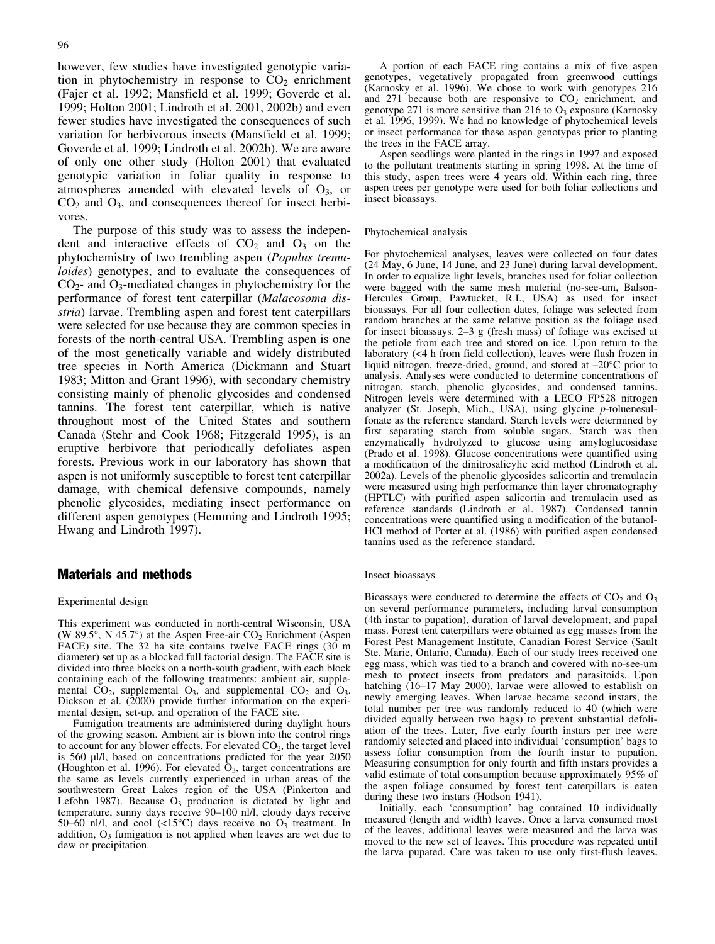however, few studies have investigated genotypic variation in phytochemistry in response to  $CO<sub>2</sub>$  enrichment (Fajer et al. 1992; Mansfield et al. 1999; Goverde et al. 1999; Holton 2001; Lindroth et al. 2001, 2002b) and even fewer studies have investigated the consequences of such variation for herbivorous insects (Mansfield et al. 1999; Goverde et al. 1999; Lindroth et al. 2002b). We are aware of only one other study (Holton 2001) that evaluated genotypic variation in foliar quality in response to atmospheres amended with elevated levels of  $O<sub>3</sub>$ , or  $CO<sub>2</sub>$  and  $O<sub>3</sub>$ , and consequences thereof for insect herbivores.

The purpose of this study was to assess the independent and interactive effects of  $CO<sub>2</sub>$  and  $O<sub>3</sub>$  on the phytochemistry of two trembling aspen (Populus tremuloides) genotypes, and to evaluate the consequences of  $CO<sub>2</sub>$ - and  $O<sub>3</sub>$ -mediated changes in phytochemistry for the performance of forest tent caterpillar (Malacosoma disstria) larvae. Trembling aspen and forest tent caterpillars were selected for use because they are common species in forests of the north-central USA. Trembling aspen is one of the most genetically variable and widely distributed tree species in North America (Dickmann and Stuart 1983; Mitton and Grant 1996), with secondary chemistry consisting mainly of phenolic glycosides and condensed tannins. The forest tent caterpillar, which is native throughout most of the United States and southern Canada (Stehr and Cook 1968; Fitzgerald 1995), is an eruptive herbivore that periodically defoliates aspen forests. Previous work in our laboratory has shown that aspen is not uniformly susceptible to forest tent caterpillar damage, with chemical defensive compounds, namely phenolic glycosides, mediating insect performance on different aspen genotypes (Hemming and Lindroth 1995; Hwang and Lindroth 1997).

# Materials and methods

## Experimental design

This experiment was conducted in north-central Wisconsin, USA (W 89.5 $\degree$ , N 45.7 $\degree$ ) at the Aspen Free-air CO<sub>2</sub> Enrichment (Aspen FACE) site. The 32 ha site contains twelve FACE rings (30 m diameter) set up as a blocked full factorial design. The FACE site is divided into three blocks on a north-south gradient, with each block containing each of the following treatments: ambient air, supplemental  $CO_2$ , supplemental  $O_3$ , and supplemental  $CO_2$  and  $O_3$ . Dickson et al. (2000) provide further information on the experimental design, set-up, and operation of the FACE site.

Fumigation treatments are administered during daylight hours of the growing season. Ambient air is blown into the control rings to account for any blower effects. For elevated  $CO<sub>2</sub>$ , the target level is 560 µl/l, based on concentrations predicted for the year 2050 (Houghton et al. 1996). For elevated  $\hat{O}_3$ , target concentrations are the same as levels currently experienced in urban areas of the southwestern Great Lakes region of the USA (Pinkerton and Lefohn 1987). Because  $O_3$  production is dictated by light and temperature, sunny days receive 90–100 nl/l, cloudy days receive 50–60 nl/l, and cool  $\left($ <15°C) days receive no O<sub>3</sub> treatment. In addition,  $O_3$  fumigation is not applied when leaves are wet due to dew or precipitation.

A portion of each FACE ring contains a mix of five aspen genotypes, vegetatively propagated from greenwood cuttings (Karnosky et al. 1996). We chose to work with genotypes 216 and 271 because both are responsive to  $CO<sub>2</sub>$  enrichment, and genotype 271 is more sensitive than 216 to  $O_3$  exposure (Karnosky et al. 1996, 1999). We had no knowledge of phytochemical levels or insect performance for these aspen genotypes prior to planting the trees in the FACE array.

Aspen seedlings were planted in the rings in 1997 and exposed to the pollutant treatments starting in spring 1998. At the time of this study, aspen trees were 4 years old. Within each ring, three aspen trees per genotype were used for both foliar collections and insect bioassays.

#### Phytochemical analysis

For phytochemical analyses, leaves were collected on four dates (24 May, 6 June, 14 June, and 23 June) during larval development. In order to equalize light levels, branches used for foliar collection were bagged with the same mesh material (no-see-um, Balson-Hercules Group, Pawtucket, R.I., USA) as used for insect bioassays. For all four collection dates, foliage was selected from random branches at the same relative position as the foliage used for insect bioassays. 2–3 g (fresh mass) of foliage was excised at the petiole from each tree and stored on ice. Upon return to the laboratory (<4 h from field collection), leaves were flash frozen in liquid nitrogen, freeze-dried, ground, and stored at  $-20^{\circ}$ C prior to analysis. Analyses were conducted to determine concentrations of nitrogen, starch, phenolic glycosides, and condensed tannins. Nitrogen levels were determined with a LECO FP528 nitrogen analyzer (St. Joseph, Mich., USA), using glycine p-toluenesulfonate as the reference standard. Starch levels were determined by first separating starch from soluble sugars. Starch was then enzymatically hydrolyzed to glucose using amyloglucosidase (Prado et al. 1998). Glucose concentrations were quantified using a modification of the dinitrosalicylic acid method (Lindroth et al. 2002a). Levels of the phenolic glycosides salicortin and tremulacin were measured using high performance thin layer chromatography (HPTLC) with purified aspen salicortin and tremulacin used as reference standards (Lindroth et al. 1987). Condensed tannin concentrations were quantified using a modification of the butanol-HCl method of Porter et al. (1986) with purified aspen condensed tannins used as the reference standard.

#### Insect bioassays

Bioassays were conducted to determine the effects of  $CO<sub>2</sub>$  and  $O<sub>3</sub>$ on several performance parameters, including larval consumption (4th instar to pupation), duration of larval development, and pupal mass. Forest tent caterpillars were obtained as egg masses from the Forest Pest Management Institute, Canadian Forest Service (Sault Ste. Marie, Ontario, Canada). Each of our study trees received one egg mass, which was tied to a branch and covered with no-see-um mesh to protect insects from predators and parasitoids. Upon hatching (16–17 May 2000), larvae were allowed to establish on newly emerging leaves. When larvae became second instars, the total number per tree was randomly reduced to 40 (which were divided equally between two bags) to prevent substantial defoliation of the trees. Later, five early fourth instars per tree were randomly selected and placed into individual 'consumption' bags to assess foliar consumption from the fourth instar to pupation. Measuring consumption for only fourth and fifth instars provides a valid estimate of total consumption because approximately 95% of the aspen foliage consumed by forest tent caterpillars is eaten during these two instars (Hodson 1941).

Initially, each 'consumption' bag contained 10 individually measured (length and width) leaves. Once a larva consumed most of the leaves, additional leaves were measured and the larva was moved to the new set of leaves. This procedure was repeated until the larva pupated. Care was taken to use only first-flush leaves.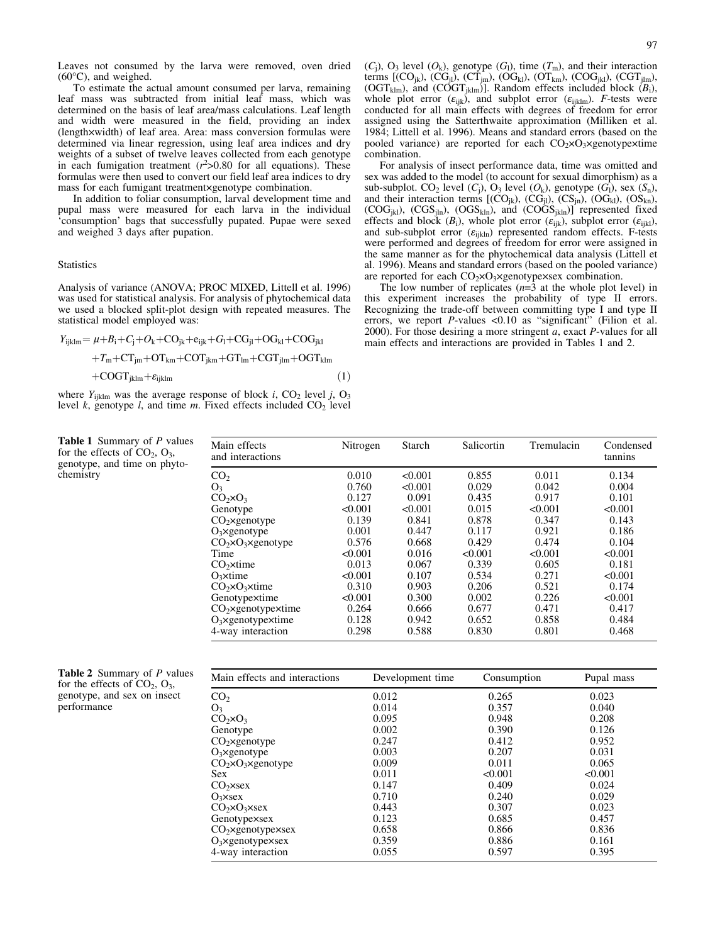Leaves not consumed by the larva were removed, oven dried  $(60^{\circ}C)$ , and weighed.

To estimate the actual amount consumed per larva, remaining leaf mass was subtracted from initial leaf mass, which was determined on the basis of leaf area/mass calculations. Leaf length and width were measured in the field, providing an index (lengthwidth) of leaf area. Area: mass conversion formulas were determined via linear regression, using leaf area indices and dry weights of a subset of twelve leaves collected from each genotype in each fumigation treatment  $(r^2>0.80$  for all equations). These formulas were then used to convert our field leaf area indices to dry mass for each fumigant treatmentxgenotype combination.

In addition to foliar consumption, larval development time and pupal mass were measured for each larva in the individual 'consumption' bags that successfully pupated. Pupae were sexed and weighed 3 days after pupation.

## **Statistics**

chemistry

Analysis of variance (ANOVA; PROC MIXED, Littell et al. 1996) was used for statistical analysis. For analysis of phytochemical data we used a blocked split-plot design with repeated measures. The statistical model employed was:

$$
Y_{ijklm} = \mu + B_i + C_j + O_k + CO_{jk} + e_{ijk} + G_l + CG_{jl} + OG_{kl} + CO_{jkl} + T_m + CT_{jm} + OT_{km} + COT_{jkm} + GTT_{lm} + CGT_{jlm} + OGTL_{klm}
$$
\n
$$
(1)
$$

where  $Y_{ijklm}$  was the average response of block i, CO<sub>2</sub> level j, O<sub>3</sub> level k, genotype  $l$ , and time  $m$ . Fixed effects included  $CO<sub>2</sub>$  level  $(C_j)$ , O<sub>3</sub> level  $(O_k)$ , genotype  $(G_l)$ , time  $(T_m)$ , and their interaction terms  $[({\rm CO}_{ik}), ({\rm CG}_{jl}), ({\rm CT}_{im}), ({\rm OG}_{kl}), ({\rm OT}_{km}), ({\rm COG}_{ikl}), ({\rm CGT}_{jlm}),$ (OGT<sub>klm</sub>), and (COGT<sub>jklm</sub>)]. Random effects included block  $(B_i)$ , whole plot error  $(\varepsilon_{ijk})$ , and subplot error  $(\varepsilon_{ijklm})$ . *F*-tests were conducted for all main effects with degrees of freedom for error assigned using the Satterthwaite approximation (Milliken et al. 1984; Littell et al. 1996). Means and standard errors (based on the pooled variance) are reported for each  $CO<sub>2</sub> \times O<sub>3</sub> \times$ genotype $\times$ time combination.

For analysis of insect performance data, time was omitted and sex was added to the model (to account for sexual dimorphism) as a sub-subplot. CO<sub>2</sub> level  $(C_i)$ , O<sub>3</sub> level  $(O_k)$ , genotype  $(G_l)$ , sex  $(S_n)$ , and their interaction terms  $[(CO_{ik}), (CG_{il}), (CG_{in}), (OG_{kl}), (OS_{kn}),$  $(COG<sub>ikl</sub>)$ ,  $(CGS<sub>iln</sub>)$ ,  $(OGS<sub>kln</sub>)$ , and  $(COG<sub>ikln</sub>)$  represented fixed effects and block  $(B_i)$ , whole plot error  $(\varepsilon_{ijk})$ , subplot error  $(\varepsilon_{ijkl})$ , and sub-subplot error  $(\varepsilon_{\text{iikh}})$  represented random effects. F-tests were performed and degrees of freedom for error were assigned in the same manner as for the phytochemical data analysis (Littell et al. 1996). Means and standard errors (based on the pooled variance) are reported for each  $CO<sub>2</sub> \times O<sub>3</sub> \times$ genotype $\times$ sex combination.

The low number of replicates  $(n=3$  at the whole plot level) in this experiment increases the probability of type II errors. Recognizing the trade-off between committing type I and type II errors, we report P-values <0.10 as "significant" (Filion et al. 2000). For those desiring a more stringent  $a$ , exact  $P$ -values for all main effects and interactions are provided in Tables 1 and 2.

| Main effects<br>and interactions   | Nitrogen | Starch  | Salicortin | Tremulacin | Condensed<br>tannins |
|------------------------------------|----------|---------|------------|------------|----------------------|
| CO <sub>2</sub>                    | 0.010    | < 0.001 | 0.855      | 0.011      | 0.134                |
| O <sub>3</sub>                     | 0.760    | < 0.001 | 0.029      | 0.042      | 0.004                |
| $CO2 \times O3$                    | 0.127    | 0.091   | 0.435      | 0.917      | 0.101                |
| Genotype                           | < 0.001  | < 0.001 | 0.015      | < 0.001    | < 0.001              |
| $CO2$ xgenotype                    | 0.139    | 0.841   | 0.878      | 0.347      | 0.143                |
| $O_3 \times$ genotype              | 0.001    | 0.447   | 0.117      | 0.921      | 0.186                |
| $CO2 \times O3 \times$ genotype    | 0.576    | 0.668   | 0.429      | 0.474      | 0.104                |
| Time                               | < 0.001  | 0.016   | < 0.001    | < 0.001    | < 0.001              |
| $CO2$ xtime                        | 0.013    | 0.067   | 0.339      | 0.605      | 0.181                |
| $O3$ xtime                         | < 0.001  | 0.107   | 0.534      | 0.271      | < 0.001              |
| $CO2 \times O3 \times time$        | 0.310    | 0.903   | 0.206      | 0.521      | 0.174                |
| Genotypextime                      | < 0.001  | 0.300   | 0.002      | 0.226      | < 0.001              |
| $CO2$ xgenotypextime               | 0.264    | 0.666   | 0.677      | 0.471      | 0.417                |
| $O3 \times$ genotype $\times$ time | 0.128    | 0.942   | 0.652      | 0.858      | 0.484                |
| 4-way interaction                  | 0.298    | 0.588   | 0.830      | 0.801      | 0.468                |

| <b>Table 2</b> Summary of P values |
|------------------------------------|
| for the effects of $CO2$ , $O3$ ,  |
| genotype, and sex on insect        |
| performance                        |

Table 1 Summary of P values for the effects of  $CO<sub>2</sub>, O<sub>3</sub>$ , genotype, and time on phyto-

| Main effects and interactions   | Development time | Consumption | Pupal mass |
|---------------------------------|------------------|-------------|------------|
| CO <sub>2</sub>                 | 0.012            | 0.265       | 0.023      |
| O <sub>3</sub>                  | 0.014            | 0.357       | 0.040      |
| $CO2 \times O3$                 | 0.095            | 0.948       | 0.208      |
| Genotype                        | 0.002            | 0.390       | 0.126      |
| $CO2$ xgenotype                 | 0.247            | 0.412       | 0.952      |
| $O_3 \times$ genotype           | 0.003            | 0.207       | 0.031      |
| $CO2 \times O3 \times$ genotype | 0.009            | 0.011       | 0.065      |
| <b>Sex</b>                      | 0.011            | < 0.001     | < 0.001    |
| $CO2 \times$ sex                | 0.147            | 0.409       | 0.024      |
| $O_3 \times$ sex                | 0.710            | 0.240       | 0.029      |
| $CO2 \times O3 \times$ sex      | 0.443            | 0.307       | 0.023      |
| Genotypexsex                    | 0.123            | 0.685       | 0.457      |
| $CO2$ xgenotypexsex             | 0.658            | 0.866       | 0.836      |
| $O_3$ xgenotypexsex             | 0.359            | 0.886       | 0.161      |
| 4-way interaction               | 0.055            | 0.597       | 0.395      |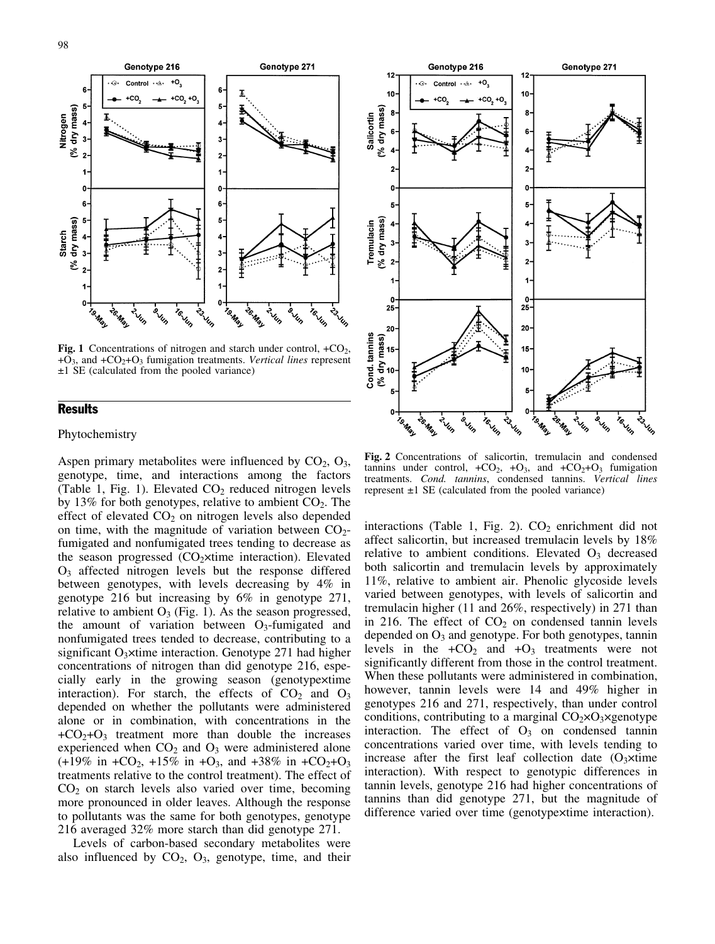

Fig. 1 Concentrations of nitrogen and starch under control,  $+CO<sub>2</sub>$ ,  $+O_3$ , and  $+CO_2+O_3$  fumigation treatments. Vertical lines represent  $±1$  SE (calculated from the pooled variance)

## **Results**

## Phytochemistry

Aspen primary metabolites were influenced by  $CO<sub>2</sub>, O<sub>3</sub>$ , genotype, time, and interactions among the factors (Table 1, Fig. 1). Elevated  $CO<sub>2</sub>$  reduced nitrogen levels by 13% for both genotypes, relative to ambient  $CO<sub>2</sub>$ . The effect of elevated  $CO<sub>2</sub>$  on nitrogen levels also depended on time, with the magnitude of variation between  $CO<sub>2</sub>$ fumigated and nonfumigated trees tending to decrease as the season progressed  $(CO<sub>2</sub>xtime interaction)$ . Elevated O3 affected nitrogen levels but the response differed between genotypes, with levels decreasing by 4% in genotype 216 but increasing by 6% in genotype 271, relative to ambient  $O_3$  (Fig. 1). As the season progressed, the amount of variation between  $O_3$ -fumigated and nonfumigated trees tended to decrease, contributing to a significant  $O_3$ xtime interaction. Genotype 271 had higher concentrations of nitrogen than did genotype 216, especially early in the growing season (genotypextime interaction). For starch, the effects of  $CO<sub>2</sub>$  and  $O<sub>3</sub>$ depended on whether the pollutants were administered alone or in combination, with concentrations in the  $+CO<sub>2</sub>+O<sub>3</sub>$  treatment more than double the increases experienced when  $CO<sub>2</sub>$  and  $O<sub>3</sub>$  were administered alone  $(+19\% \text{ in } +CO_2, +15\% \text{ in } +O_3, \text{ and } +38\% \text{ in } +CO_2+O_3$ treatments relative to the control treatment). The effect of  $CO<sub>2</sub>$  on starch levels also varied over time, becoming more pronounced in older leaves. Although the response to pollutants was the same for both genotypes, genotype 216 averaged 32% more starch than did genotype 271.

Levels of carbon-based secondary metabolites were also influenced by  $CO<sub>2</sub>$ ,  $O<sub>3</sub>$ , genotype, time, and their



Fig. 2 Concentrations of salicortin, tremulacin and condensed tannins under control,  $+CO_2$ ,  $+O_3$ , and  $+CO_2+O_3$  fumigation treatments. Cond. tannins, condensed tannins. Vertical lines represent  $\pm 1$  SE (calculated from the pooled variance)

interactions (Table 1, Fig. 2).  $CO<sub>2</sub>$  enrichment did not affect salicortin, but increased tremulacin levels by 18% relative to ambient conditions. Elevated  $O<sub>3</sub>$  decreased both salicortin and tremulacin levels by approximately 11%, relative to ambient air. Phenolic glycoside levels varied between genotypes, with levels of salicortin and tremulacin higher (11 and 26%, respectively) in 271 than in 216. The effect of  $CO<sub>2</sub>$  on condensed tannin levels depended on  $O_3$  and genotype. For both genotypes, tannin levels in the  $+CO<sub>2</sub>$  and  $+O<sub>3</sub>$  treatments were not significantly different from those in the control treatment. When these pollutants were administered in combination, however, tannin levels were 14 and 49% higher in genotypes 216 and 271, respectively, than under control conditions, contributing to a marginal  $CO<sub>2</sub> \times O<sub>3</sub> \times$ genotype interaction. The effect of  $O_3$  on condensed tannin concentrations varied over time, with levels tending to increase after the first leaf collection date  $(O<sub>3</sub>xtime)$ interaction). With respect to genotypic differences in tannin levels, genotype 216 had higher concentrations of tannins than did genotype 271, but the magnitude of difference varied over time (genotypextime interaction).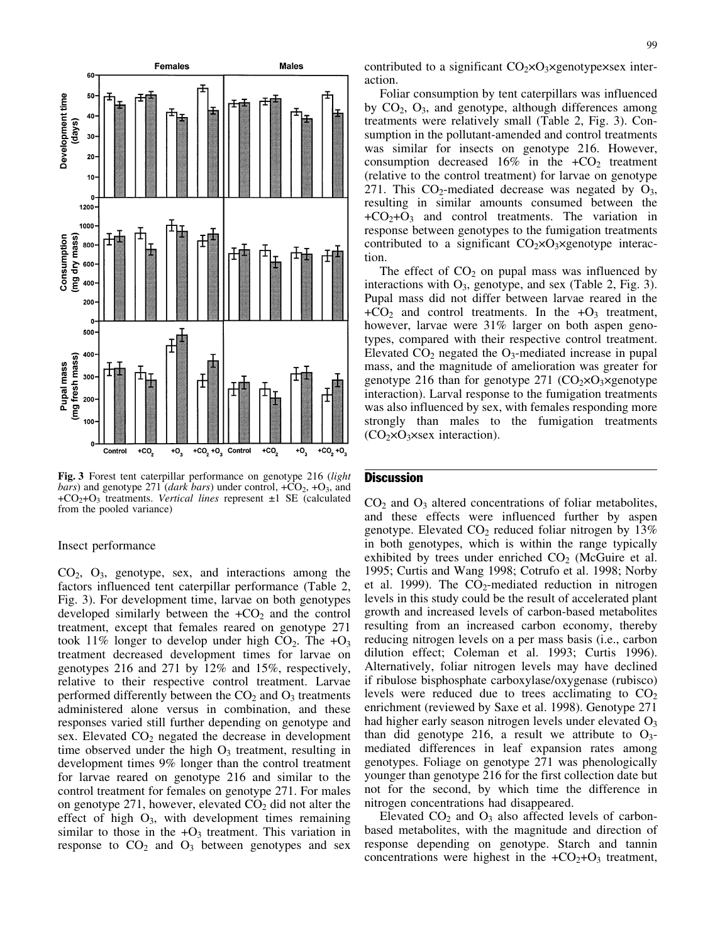

Fig. 3 Forest tent caterpillar performance on genotype 216 (light *bars*) and genotype 271 (*dark bars*) under control,  $+CO_2$ ,  $+O_3$ , and  $+CO<sub>2</sub>+O<sub>3</sub>$  treatments. *Vertical lines* represent  $\pm 1$  SE (calculated from the pooled variance)

#### Insect performance

CO2, O3, genotype, sex, and interactions among the factors influenced tent caterpillar performance (Table 2, Fig. 3). For development time, larvae on both genotypes developed similarly between the  $+CO<sub>2</sub>$  and the control treatment, except that females reared on genotype 271 took 11% longer to develop under high  $CO<sub>2</sub>$ . The  $+O<sub>3</sub>$ treatment decreased development times for larvae on genotypes 216 and 271 by 12% and 15%, respectively, relative to their respective control treatment. Larvae performed differently between the  $CO<sub>2</sub>$  and  $O<sub>3</sub>$  treatments administered alone versus in combination, and these responses varied still further depending on genotype and sex. Elevated  $CO<sub>2</sub>$  negated the decrease in development time observed under the high  $O_3$  treatment, resulting in development times 9% longer than the control treatment for larvae reared on genotype 216 and similar to the control treatment for females on genotype 271. For males on genotype 271, however, elevated  $CO<sub>2</sub>$  did not alter the effect of high  $O_3$ , with development times remaining similar to those in the  $+O_3$  treatment. This variation in response to  $CO<sub>2</sub>$  and  $O<sub>3</sub>$  between genotypes and sex

contributed to a significant  $CO<sub>2</sub> \times O<sub>3</sub> \times$ genotype $\times$ sex interaction.

Foliar consumption by tent caterpillars was influenced by  $CO<sub>2</sub>$ ,  $O<sub>3</sub>$ , and genotype, although differences among treatments were relatively small (Table 2, Fig. 3). Consumption in the pollutant-amended and control treatments was similar for insects on genotype 216. However, consumption decreased 16% in the  $+CO<sub>2</sub>$  treatment (relative to the control treatment) for larvae on genotype 271. This  $CO_2$ -mediated decrease was negated by  $O_3$ , resulting in similar amounts consumed between the  $+CO<sub>2</sub>+O<sub>3</sub>$  and control treatments. The variation in response between genotypes to the fumigation treatments contributed to a significant  $CO<sub>2</sub> \times O<sub>3</sub> \times$ genotype interaction.

The effect of  $CO<sub>2</sub>$  on pupal mass was influenced by interactions with  $O_3$ , genotype, and sex (Table 2, Fig. 3). Pupal mass did not differ between larvae reared in the  $+CO<sub>2</sub>$  and control treatments. In the  $+O<sub>3</sub>$  treatment, however, larvae were 31% larger on both aspen genotypes, compared with their respective control treatment. Elevated  $CO<sub>2</sub>$  negated the  $O<sub>3</sub>$ -mediated increase in pupal mass, and the magnitude of amelioration was greater for genotype 216 than for genotype 271  $(CO_2 \times O_3 \times$ genotype interaction). Larval response to the fumigation treatments was also influenced by sex, with females responding more strongly than males to the fumigation treatments  $(CO<sub>2</sub>×O<sub>3</sub>×sex interaction).$ 

## **Discussion**

 $CO<sub>2</sub>$  and  $O<sub>3</sub>$  altered concentrations of foliar metabolites, and these effects were influenced further by aspen genotype. Elevated  $CO<sub>2</sub>$  reduced foliar nitrogen by 13% in both genotypes, which is within the range typically exhibited by trees under enriched  $CO<sub>2</sub>$  (McGuire et al. 1995; Curtis and Wang 1998; Cotrufo et al. 1998; Norby et al. 1999). The  $CO_2$ -mediated reduction in nitrogen levels in this study could be the result of accelerated plant growth and increased levels of carbon-based metabolites resulting from an increased carbon economy, thereby reducing nitrogen levels on a per mass basis (i.e., carbon dilution effect; Coleman et al. 1993; Curtis 1996). Alternatively, foliar nitrogen levels may have declined if ribulose bisphosphate carboxylase/oxygenase (rubisco) levels were reduced due to trees acclimating to  $CO<sub>2</sub>$ enrichment (reviewed by Saxe et al. 1998). Genotype 271 had higher early season nitrogen levels under elevated O<sub>3</sub> than did genotype 216, a result we attribute to  $O_3$ mediated differences in leaf expansion rates among genotypes. Foliage on genotype 271 was phenologically younger than genotype 216 for the first collection date but not for the second, by which time the difference in nitrogen concentrations had disappeared.

Elevated  $CO<sub>2</sub>$  and  $O<sub>3</sub>$  also affected levels of carbonbased metabolites, with the magnitude and direction of response depending on genotype. Starch and tannin concentrations were highest in the  $+CO<sub>2</sub>+O<sub>3</sub>$  treatment,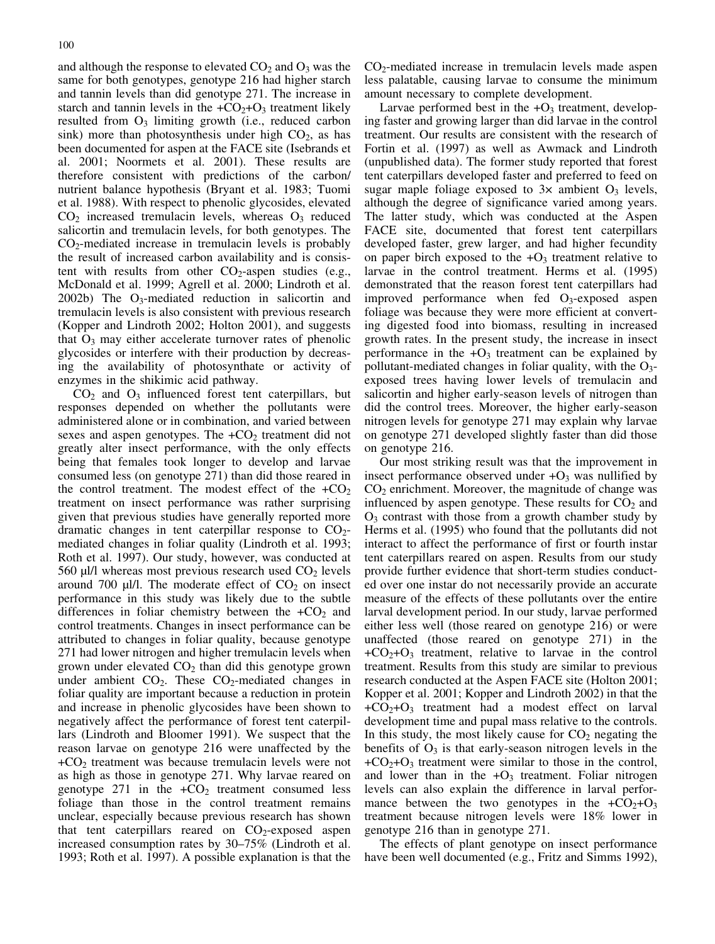and although the response to elevated  $CO<sub>2</sub>$  and  $O<sub>3</sub>$  was the same for both genotypes, genotype 216 had higher starch and tannin levels than did genotype 271. The increase in starch and tannin levels in the  $+CO<sub>2</sub>+O<sub>3</sub>$  treatment likely resulted from  $O_3$  limiting growth (i.e., reduced carbon sink) more than photosynthesis under high  $CO<sub>2</sub>$ , as has been documented for aspen at the FACE site (Isebrands et al. 2001; Noormets et al. 2001). These results are therefore consistent with predictions of the carbon/ nutrient balance hypothesis (Bryant et al. 1983; Tuomi et al. 1988). With respect to phenolic glycosides, elevated  $CO<sub>2</sub>$  increased tremulacin levels, whereas  $O<sub>3</sub>$  reduced salicortin and tremulacin levels, for both genotypes. The  $CO<sub>2</sub>$ -mediated increase in tremulacin levels is probably the result of increased carbon availability and is consistent with results from other  $CO_2$ -aspen studies (e.g., McDonald et al. 1999; Agrell et al. 2000; Lindroth et al. 2002b) The  $O_3$ -mediated reduction in salicortin and tremulacin levels is also consistent with previous research (Kopper and Lindroth 2002; Holton 2001), and suggests that  $O_3$  may either accelerate turnover rates of phenolic glycosides or interfere with their production by decreasing the availability of photosynthate or activity of enzymes in the shikimic acid pathway.

 $CO<sub>2</sub>$  and  $O<sub>3</sub>$  influenced forest tent caterpillars, but responses depended on whether the pollutants were administered alone or in combination, and varied between sexes and aspen genotypes. The  $+CO<sub>2</sub>$  treatment did not greatly alter insect performance, with the only effects being that females took longer to develop and larvae consumed less (on genotype 271) than did those reared in the control treatment. The modest effect of the  $+CO<sub>2</sub>$ treatment on insect performance was rather surprising given that previous studies have generally reported more dramatic changes in tent caterpillar response to  $CO<sub>2</sub>$ mediated changes in foliar quality (Lindroth et al. 1993; Roth et al. 1997). Our study, however, was conducted at 560  $\mu$ l/l whereas most previous research used CO<sub>2</sub> levels around 700  $\mu$ l/l. The moderate effect of CO<sub>2</sub> on insect performance in this study was likely due to the subtle differences in foliar chemistry between the  $+CO<sub>2</sub>$  and control treatments. Changes in insect performance can be attributed to changes in foliar quality, because genotype 271 had lower nitrogen and higher tremulacin levels when grown under elevated  $CO<sub>2</sub>$  than did this genotype grown under ambient  $CO<sub>2</sub>$ . These  $CO<sub>2</sub>$ -mediated changes in foliar quality are important because a reduction in protein and increase in phenolic glycosides have been shown to negatively affect the performance of forest tent caterpillars (Lindroth and Bloomer 1991). We suspect that the reason larvae on genotype 216 were unaffected by the  $+CO<sub>2</sub>$  treatment was because tremulacin levels were not as high as those in genotype 271. Why larvae reared on genotype 271 in the  $+CO<sub>2</sub>$  treatment consumed less foliage than those in the control treatment remains unclear, especially because previous research has shown that tent caterpillars reared on  $CO<sub>2</sub>$ -exposed aspen increased consumption rates by 30–75% (Lindroth et al. 1993; Roth et al. 1997). A possible explanation is that the  $CO<sub>2</sub>$ -mediated increase in tremulacin levels made aspen less palatable, causing larvae to consume the minimum amount necessary to complete development.

Larvae performed best in the  $+O_3$  treatment, developing faster and growing larger than did larvae in the control treatment. Our results are consistent with the research of Fortin et al. (1997) as well as Awmack and Lindroth (unpublished data). The former study reported that forest tent caterpillars developed faster and preferred to feed on sugar maple foliage exposed to  $3x$  ambient  $O_3$  levels, although the degree of significance varied among years. The latter study, which was conducted at the Aspen FACE site, documented that forest tent caterpillars developed faster, grew larger, and had higher fecundity on paper birch exposed to the  $+O_3$  treatment relative to larvae in the control treatment. Herms et al. (1995) demonstrated that the reason forest tent caterpillars had improved performance when fed  $O_3$ -exposed aspen foliage was because they were more efficient at converting digested food into biomass, resulting in increased growth rates. In the present study, the increase in insect performance in the  $+O_3$  treatment can be explained by pollutant-mediated changes in foliar quality, with the  $O_3$ exposed trees having lower levels of tremulacin and salicortin and higher early-season levels of nitrogen than did the control trees. Moreover, the higher early-season nitrogen levels for genotype 271 may explain why larvae on genotype 271 developed slightly faster than did those on genotype 216.

Our most striking result was that the improvement in insect performance observed under  $+O_3$  was nullified by  $CO<sub>2</sub>$  enrichment. Moreover, the magnitude of change was influenced by aspen genotype. These results for  $CO<sub>2</sub>$  and  $O<sub>3</sub>$  contrast with those from a growth chamber study by Herms et al. (1995) who found that the pollutants did not interact to affect the performance of first or fourth instar tent caterpillars reared on aspen. Results from our study provide further evidence that short-term studies conducted over one instar do not necessarily provide an accurate measure of the effects of these pollutants over the entire larval development period. In our study, larvae performed either less well (those reared on genotype 216) or were unaffected (those reared on genotype 271) in the  $+CO<sub>2</sub>+O<sub>3</sub>$  treatment, relative to larvae in the control treatment. Results from this study are similar to previous research conducted at the Aspen FACE site (Holton 2001; Kopper et al. 2001; Kopper and Lindroth 2002) in that the  $+CO<sub>2</sub>+O<sub>3</sub>$  treatment had a modest effect on larval development time and pupal mass relative to the controls. In this study, the most likely cause for  $CO<sub>2</sub>$  negating the benefits of  $O_3$  is that early-season nitrogen levels in the  $+CO<sub>2</sub>+O<sub>3</sub>$  treatment were similar to those in the control, and lower than in the  $+O_3$  treatment. Foliar nitrogen levels can also explain the difference in larval performance between the two genotypes in the  $+CO<sub>2</sub>+O<sub>3</sub>$ treatment because nitrogen levels were 18% lower in genotype 216 than in genotype 271.

The effects of plant genotype on insect performance have been well documented (e.g., Fritz and Simms 1992),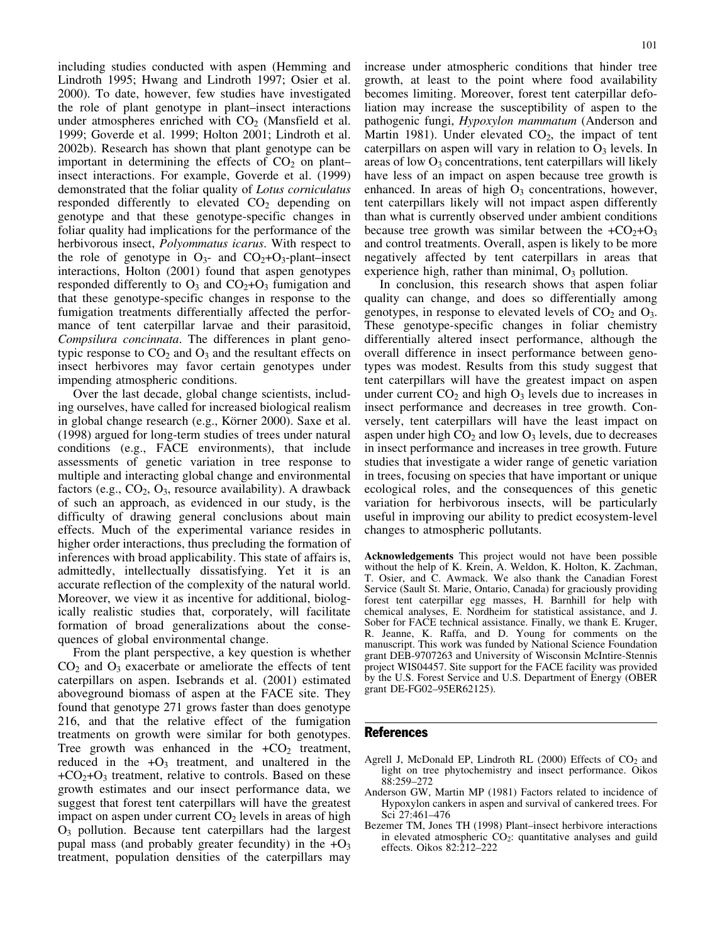including studies conducted with aspen (Hemming and Lindroth 1995; Hwang and Lindroth 1997; Osier et al. 2000). To date, however, few studies have investigated the role of plant genotype in plant–insect interactions under atmospheres enriched with  $CO<sub>2</sub>$  (Mansfield et al. 1999; Goverde et al. 1999; Holton 2001; Lindroth et al. 2002b). Research has shown that plant genotype can be important in determining the effects of  $CO<sub>2</sub>$  on plant– insect interactions. For example, Goverde et al. (1999) demonstrated that the foliar quality of Lotus corniculatus responded differently to elevated  $CO<sub>2</sub>$  depending on genotype and that these genotype-specific changes in foliar quality had implications for the performance of the herbivorous insect, *Polyommatus icarus*. With respect to the role of genotype in  $O_{3}$ - and  $CO_{2}+O_{3}$ -plant–insect interactions, Holton (2001) found that aspen genotypes responded differently to  $O_3$  and  $CO_2+O_3$  fumigation and that these genotype-specific changes in response to the fumigation treatments differentially affected the performance of tent caterpillar larvae and their parasitoid, Compsilura concinnata. The differences in plant genotypic response to  $CO<sub>2</sub>$  and  $O<sub>3</sub>$  and the resultant effects on insect herbivores may favor certain genotypes under impending atmospheric conditions.

Over the last decade, global change scientists, including ourselves, have called for increased biological realism in global change research (e.g., Körner 2000). Saxe et al. (1998) argued for long-term studies of trees under natural conditions (e.g., FACE environments), that include assessments of genetic variation in tree response to multiple and interacting global change and environmental factors (e.g.,  $CO<sub>2</sub>$ ,  $O<sub>3</sub>$ , resource availability). A drawback of such an approach, as evidenced in our study, is the difficulty of drawing general conclusions about main effects. Much of the experimental variance resides in higher order interactions, thus precluding the formation of inferences with broad applicability. This state of affairs is, admittedly, intellectually dissatisfying. Yet it is an accurate reflection of the complexity of the natural world. Moreover, we view it as incentive for additional, biologically realistic studies that, corporately, will facilitate formation of broad generalizations about the consequences of global environmental change.

From the plant perspective, a key question is whether  $CO<sub>2</sub>$  and  $O<sub>3</sub>$  exacerbate or ameliorate the effects of tent caterpillars on aspen. Isebrands et al. (2001) estimated aboveground biomass of aspen at the FACE site. They found that genotype 271 grows faster than does genotype 216, and that the relative effect of the fumigation treatments on growth were similar for both genotypes. Tree growth was enhanced in the  $+CO<sub>2</sub>$  treatment, reduced in the  $+O_3$  treatment, and unaltered in the  $+CO<sub>2</sub>+O<sub>3</sub>$  treatment, relative to controls. Based on these growth estimates and our insect performance data, we suggest that forest tent caterpillars will have the greatest impact on aspen under current  $CO<sub>2</sub>$  levels in areas of high  $O<sub>3</sub>$  pollution. Because tent caterpillars had the largest pupal mass (and probably greater fecundity) in the  $+O_3$ treatment, population densities of the caterpillars may increase under atmospheric conditions that hinder tree growth, at least to the point where food availability becomes limiting. Moreover, forest tent caterpillar defoliation may increase the susceptibility of aspen to the pathogenic fungi, Hypoxylon mammatum (Anderson and Martin 1981). Under elevated  $CO<sub>2</sub>$ , the impact of tent caterpillars on aspen will vary in relation to  $O_3$  levels. In areas of low  $O_3$  concentrations, tent caterpillars will likely have less of an impact on aspen because tree growth is enhanced. In areas of high  $O_3$  concentrations, however, tent caterpillars likely will not impact aspen differently than what is currently observed under ambient conditions because tree growth was similar between the  $+CO<sub>2</sub>+O<sub>3</sub>$ and control treatments. Overall, aspen is likely to be more negatively affected by tent caterpillars in areas that experience high, rather than minimal,  $O_3$  pollution.

In conclusion, this research shows that aspen foliar quality can change, and does so differentially among genotypes, in response to elevated levels of  $CO<sub>2</sub>$  and  $O<sub>3</sub>$ . These genotype-specific changes in foliar chemistry differentially altered insect performance, although the overall difference in insect performance between genotypes was modest. Results from this study suggest that tent caterpillars will have the greatest impact on aspen under current  $CO<sub>2</sub>$  and high  $O<sub>3</sub>$  levels due to increases in insect performance and decreases in tree growth. Conversely, tent caterpillars will have the least impact on aspen under high  $CO<sub>2</sub>$  and low  $O<sub>3</sub>$  levels, due to decreases in insect performance and increases in tree growth. Future studies that investigate a wider range of genetic variation in trees, focusing on species that have important or unique ecological roles, and the consequences of this genetic variation for herbivorous insects, will be particularly useful in improving our ability to predict ecosystem-level changes to atmospheric pollutants.

Acknowledgements This project would not have been possible without the help of K. Krein, A. Weldon, K. Holton, K. Zachman, T. Osier, and C. Awmack. We also thank the Canadian Forest Service (Sault St. Marie, Ontario, Canada) for graciously providing forest tent caterpillar egg masses, H. Barnhill for help with chemical analyses, E. Nordheim for statistical assistance, and J. Sober for FACE technical assistance. Finally, we thank E. Kruger, R. Jeanne, K. Raffa, and D. Young for comments on the manuscript. This work was funded by National Science Foundation grant DEB-9707263 and University of Wisconsin McIntire-Stennis project WIS04457. Site support for the FACE facility was provided by the U.S. Forest Service and U.S. Department of Energy (OBER grant DE-FG02–95ER62125).

## References

- Agrell J, McDonald EP, Lindroth RL (2000) Effects of  $CO<sub>2</sub>$  and light on tree phytochemistry and insect performance. Oikos 88:259–272
- Anderson GW, Martin MP (1981) Factors related to incidence of Hypoxylon cankers in aspen and survival of cankered trees. For Sci 27:461–476
- Bezemer TM, Jones TH (1998) Plant–insect herbivore interactions in elevated atmospheric  $CO<sub>2</sub>$ : quantitative analyses and guild effects. Oikos 82:212–222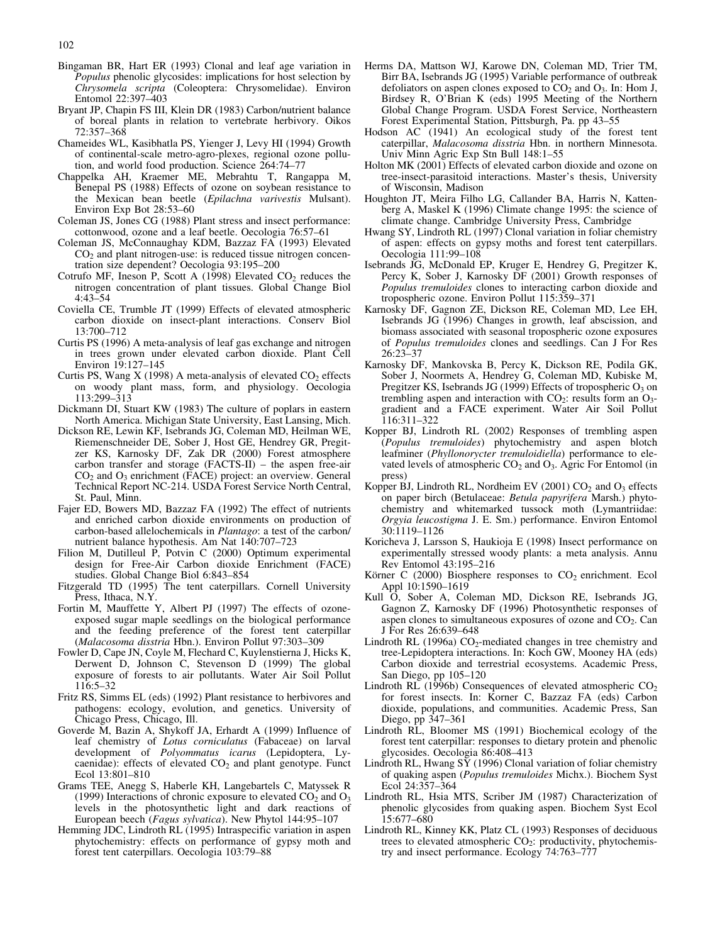- Bingaman BR, Hart ER (1993) Clonal and leaf age variation in Populus phenolic glycosides: implications for host selection by Chrysomela scripta (Coleoptera: Chrysomelidae). Environ Entomol 22:397–403
- Bryant JP, Chapin FS III, Klein DR (1983) Carbon/nutrient balance of boreal plants in relation to vertebrate herbivory. Oikos 72:357–368
- Chameides WL, Kasibhatla PS, Yienger J, Levy HI (1994) Growth of continental-scale metro-agro-plexes, regional ozone pollution, and world food production. Science 264:74–77
- Chappelka AH, Kraemer ME, Mebrahtu T, Rangappa M, Benepal PS (1988) Effects of ozone on soybean resistance to the Mexican bean beetle (Epilachna varivestis Mulsant). Environ Exp Bot 28:53–60
- Coleman JS, Jones CG (1988) Plant stress and insect performance: cottonwood, ozone and a leaf beetle. Oecologia 76:57–61
- Coleman JS, McConnaughay KDM, Bazzaz FA (1993) Elevated  $CO<sub>2</sub>$  and plant nitrogen-use: is reduced tissue nitrogen concentration size dependent? Oecologia 93:195–200
- Cotrufo MF, Ineson P, Scott A (1998) Elevated  $CO<sub>2</sub>$  reduces the nitrogen concentration of plant tissues. Global Change Biol 4:43–54
- Coviella CE, Trumble JT (1999) Effects of elevated atmospheric carbon dioxide on insect-plant interactions. Conserv Biol 13:700–712
- Curtis PS (1996) A meta-analysis of leaf gas exchange and nitrogen in trees grown under elevated carbon dioxide. Plant Cell Environ 19:127–145
- Curtis PS, Wang  $X$  (1998) A meta-analysis of elevated  $CO<sub>2</sub>$  effects on woody plant mass, form, and physiology. Oecologia 113:299–313
- Dickmann DI, Stuart KW (1983) The culture of poplars in eastern North America. Michigan State University, East Lansing, Mich.
- Dickson RE, Lewin KF, Isebrands JG, Coleman MD, Heilman WE, Riemenschneider DE, Sober J, Host GE, Hendrey GR, Pregitzer KS, Karnosky DF, Zak DR (2000) Forest atmosphere carbon transfer and storage (FACTS-II) – the aspen free-air CO2 and O3 enrichment (FACE) project: an overview. General Technical Report NC-214. USDA Forest Service North Central, St. Paul, Minn.
- Fajer ED, Bowers MD, Bazzaz FA (1992) The effect of nutrients and enriched carbon dioxide environments on production of carbon-based allelochemicals in Plantago: a test of the carbon/ nutrient balance hypothesis. Am Nat 140:707–723
- Filion M, Dutilleul P, Potvin C (2000) Optimum experimental design for Free-Air Carbon dioxide Enrichment (FACE) studies. Global Change Biol 6:843–854
- Fitzgerald TD (1995) The tent caterpillars. Cornell University Press, Ithaca, N.Y.
- Fortin M, Mauffette Y, Albert PJ (1997) The effects of ozoneexposed sugar maple seedlings on the biological performance and the feeding preference of the forest tent caterpillar (Malacosoma disstria Hbn.). Environ Pollut 97:303–309
- Fowler D, Cape JN, Coyle M, Flechard C, Kuylenstierna J, Hicks K, Derwent D, Johnson C, Stevenson D (1999) The global exposure of forests to air pollutants. Water Air Soil Pollut 116:5–32
- Fritz RS, Simms EL (eds) (1992) Plant resistance to herbivores and pathogens: ecology, evolution, and genetics. University of Chicago Press, Chicago, Ill.
- Goverde M, Bazin A, Shykoff JA, Erhardt A (1999) Influence of leaf chemistry of Lotus corniculatus (Fabaceae) on larval development of Polyommatus icarus (Lepidoptera, Lycaenidae): effects of elevated  $CO<sub>2</sub>$  and plant genotype. Funct Ecol 13:801–810
- Grams TEE, Anegg S, Haberle KH, Langebartels C, Matyssek R (1999) Interactions of chronic exposure to elevated  $CO<sub>2</sub>$  and  $O<sub>3</sub>$ levels in the photosynthetic light and dark reactions of European beech (Fagus sylvatica). New Phytol 144:95–107
- Hemming JDC, Lindroth RL (1995) Intraspecific variation in aspen phytochemistry: effects on performance of gypsy moth and forest tent caterpillars. Oecologia 103:79–88
- Herms DA, Mattson WJ, Karowe DN, Coleman MD, Trier TM, Birr BA, Isebrands JG (1995) Variable performance of outbreak defoliators on aspen clones exposed to  $CO<sub>2</sub>$  and  $O<sub>3</sub>$ . In: Hom J, Birdsey R, O'Brian K (eds) 1995 Meeting of the Northern Global Change Program. USDA Forest Service, Northeastern Forest Experimental Station, Pittsburgh, Pa. pp 43–55
- Hodson AC (1941) An ecological study of the forest tent caterpillar, Malacosoma disstria Hbn. in northern Minnesota. Univ Minn Agric Exp Stn Bull 148:1–55
- Holton MK (2001) Effects of elevated carbon dioxide and ozone on tree-insect-parasitoid interactions. Master's thesis, University of Wisconsin, Madison
- Houghton JT, Meira Filho LG, Callander BA, Harris N, Kattenberg A, Maskel K (1996) Climate change 1995: the science of climate change. Cambridge University Press, Cambridge
- Hwang SY, Lindroth RL (1997) Clonal variation in foliar chemistry of aspen: effects on gypsy moths and forest tent caterpillars. Oecologia 111:99–108
- Isebrands JG, McDonald EP, Kruger E, Hendrey G, Pregitzer K, Percy K, Sober J, Karnosky DF (2001) Growth responses of Populus tremuloides clones to interacting carbon dioxide and tropospheric ozone. Environ Pollut 115:359–371
- Karnosky DF, Gagnon ZE, Dickson RE, Coleman MD, Lee EH, Isebrands JG (1996) Changes in growth, leaf abscission, and biomass associated with seasonal tropospheric ozone exposures of Populus tremuloides clones and seedlings. Can J For Res 26:23–37
- Karnosky DF, Mankovska B, Percy K, Dickson RE, Podila GK, Sober J, Noormets A, Hendrey G, Coleman MD, Kubiske M, Pregitzer KS, Isebrands JG (1999) Effects of tropospheric  $O_3$  on trembling aspen and interaction with  $CO<sub>2</sub>$ : results form an  $O<sub>3</sub>$ gradient and a FACE experiment. Water Air Soil Pollut 116:311–322
- Kopper BJ, Lindroth RL (2002) Responses of trembling aspen (Populus tremuloides) phytochemistry and aspen blotch leafminer (Phyllonorycter tremuloidiella) performance to elevated levels of atmospheric  $CO<sub>2</sub>$  and  $O<sub>3</sub>$ . Agric For Entomol (in press)
- Kopper BJ, Lindroth RL, Nordheim EV (2001)  $CO<sub>2</sub>$  and  $O<sub>3</sub>$  effects on paper birch (Betulaceae: Betula papyrifera Marsh.) phytochemistry and whitemarked tussock moth (Lymantriidae: Orgyia leucostigma J. E. Sm.) performance. Environ Entomol 30:1119–1126
- Koricheva J, Larsson S, Haukioja E (1998) Insect performance on experimentally stressed woody plants: a meta analysis. Annu Rev Entomol 43:195–216
- Körner C (2000) Biosphere responses to  $CO<sub>2</sub>$  enrichment. Ecol Appl 10:1590–1619
- Kull O, Sober A, Coleman MD, Dickson RE, Isebrands JG, Gagnon Z, Karnosky DF (1996) Photosynthetic responses of aspen clones to simultaneous exposures of ozone and  $CO<sub>2</sub>$ . Can J For Res 26:639–648
- Lindroth RL (1996a)  $CO<sub>2</sub>$ -mediated changes in tree chemistry and tree-Lepidoptera interactions. In: Koch GW, Mooney HA (eds) Carbon dioxide and terrestrial ecosystems. Academic Press, San Diego, pp 105–120
- Lindroth RL (1996b) Consequences of elevated atmospheric  $CO<sub>2</sub>$ for forest insects. In: Korner C, Bazzaz FA (eds) Carbon dioxide, populations, and communities. Academic Press, San Diego, pp 347–361
- Lindroth RL, Bloomer MS (1991) Biochemical ecology of the forest tent caterpillar: responses to dietary protein and phenolic glycosides. Oecologia 86:408–413
- Lindroth RL, Hwang SY (1996) Clonal variation of foliar chemistry of quaking aspen (Populus tremuloides Michx.). Biochem Syst Ecol 24:357–364
- Lindroth RL, Hsia MTS, Scriber JM (1987) Characterization of phenolic glycosides from quaking aspen. Biochem Syst Ecol 15:677–680
- Lindroth RL, Kinney KK, Platz CL (1993) Responses of deciduous trees to elevated atmospheric  $CO<sub>2</sub>$ : productivity, phytochemistry and insect performance. Ecology 74:763–777